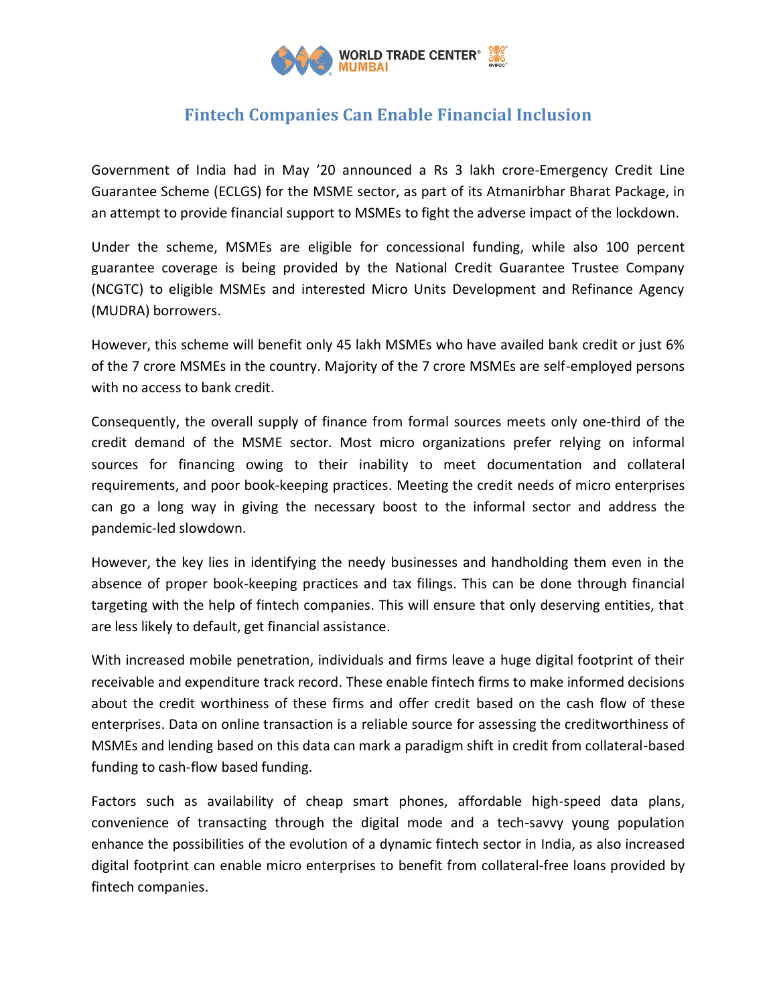

## **Fintech Companies Can Enable Financial Inclusion**

Government of India had in May '20 announced a Rs 3 lakh crore-Emergency Credit Line Guarantee Scheme (ECLGS) for the MSME sector, as part of its Atmanirbhar Bharat Package, in an attempt to provide financial support to MSMEs to fight the adverse impact of the lockdown.

Under the scheme, MSMEs are eligible for concessional funding, while also 100 percent guarantee coverage is being provided by the National Credit Guarantee Trustee Company (NCGTC) to eligible MSMEs and interested Micro Units Development and Refinance Agency (MUDRA) borrowers.

However, this scheme will benefit only 45 lakh MSMEs who have availed bank credit or just 6% of the 7 crore MSMEs in the country. Majority of the 7 crore MSMEs are self-employed persons with no access to bank credit.

Consequently, the overall supply of finance from formal sources meets only one-third of the credit demand of the MSME sector. Most micro organizations prefer relying on informal sources for financing owing to their inability to meet documentation and collateral requirements, and poor book-keeping practices. Meeting the credit needs of micro enterprises can go a long way in giving the necessary boost to the informal sector and address the pandemic-led slowdown.

However, the key lies in identifying the needy businesses and handholding them even in the absence of proper book-keeping practices and tax filings. This can be done through financial targeting with the help of fintech companies. This will ensure that only deserving entities, that are less likely to default, get financial assistance.

With increased mobile penetration, individuals and firms leave a huge digital footprint of their receivable and expenditure track record. These enable fintech firms to make informed decisions about the credit worthiness of these firms and offer credit based on the cash flow of these enterprises. Data on online transaction is a reliable source for assessing the creditworthiness of MSMEs and lending based on this data can mark a paradigm shift in credit from collateral-based funding to cash-flow based funding.

Factors such as availability of cheap smart phones, affordable high-speed data plans, convenience of transacting through the digital mode and a tech-savvy young population enhance the possibilities of the evolution of a dynamic fintech sector in India, as also increased digital footprint can enable micro enterprises to benefit from collateral-free loans provided by fintech companies.